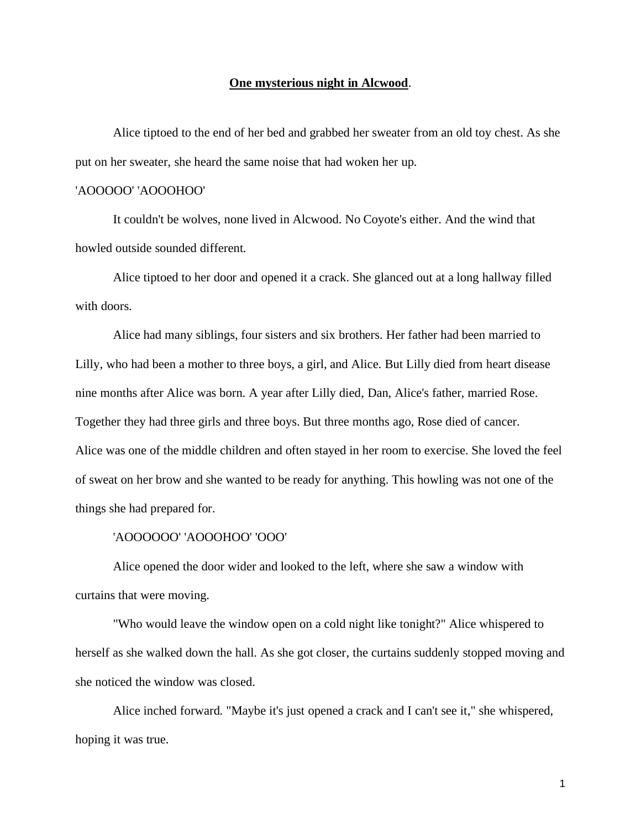## **One mysterious night in Alcwood**.

Alice tiptoed to the end of her bed and grabbed her sweater from an old toy chest. As she put on her sweater, she heard the same noise that had woken her up.

## 'AOOOOO' 'AOOOHOO'

It couldn't be wolves, none lived in Alcwood. No Coyote's either. And the wind that howled outside sounded different.

Alice tiptoed to her door and opened it a crack. She glanced out at a long hallway filled with doors.

Alice had many siblings, four sisters and six brothers. Her father had been married to Lilly, who had been a mother to three boys, a girl, and Alice. But Lilly died from heart disease nine months after Alice was born. A year after Lilly died, Dan, Alice's father, married Rose. Together they had three girls and three boys. But three months ago, Rose died of cancer. Alice was one of the middle children and often stayed in her room to exercise. She loved the feel of sweat on her brow and she wanted to be ready for anything. This howling was not one of the things she had prepared for.

## 'AOOOOOO' 'AOOOHOO' 'OOO'

Alice opened the door wider and looked to the left, where she saw a window with curtains that were moving.

"Who would leave the window open on a cold night like tonight?" Alice whispered to herself as she walked down the hall. As she got closer, the curtains suddenly stopped moving and she noticed the window was closed.

Alice inched forward. "Maybe it's just opened a crack and I can't see it," she whispered, hoping it was true.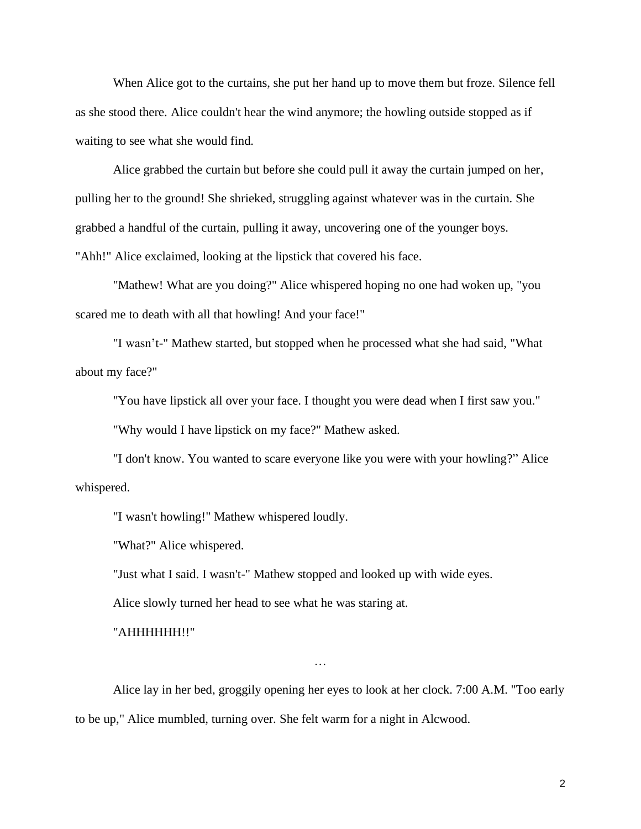When Alice got to the curtains, she put her hand up to move them but froze. Silence fell as she stood there. Alice couldn't hear the wind anymore; the howling outside stopped as if waiting to see what she would find.

Alice grabbed the curtain but before she could pull it away the curtain jumped on her, pulling her to the ground! She shrieked, struggling against whatever was in the curtain. She grabbed a handful of the curtain, pulling it away, uncovering one of the younger boys. "Ahh!" Alice exclaimed, looking at the lipstick that covered his face.

"Mathew! What are you doing?" Alice whispered hoping no one had woken up, "you scared me to death with all that howling! And your face!"

"I wasn't-" Mathew started, but stopped when he processed what she had said, "What about my face?"

"You have lipstick all over your face. I thought you were dead when I first saw you."

"Why would I have lipstick on my face?" Mathew asked.

"I don't know. You wanted to scare everyone like you were with your howling?" Alice whispered.

"I wasn't howling!" Mathew whispered loudly.

"What?" Alice whispered.

"Just what I said. I wasn't-" Mathew stopped and looked up with wide eyes.

Alice slowly turned her head to see what he was staring at.

"AHHHHHH!!"

Alice lay in her bed, groggily opening her eyes to look at her clock. 7:00 A.M. "Too early to be up," Alice mumbled, turning over. She felt warm for a night in Alcwood.

…